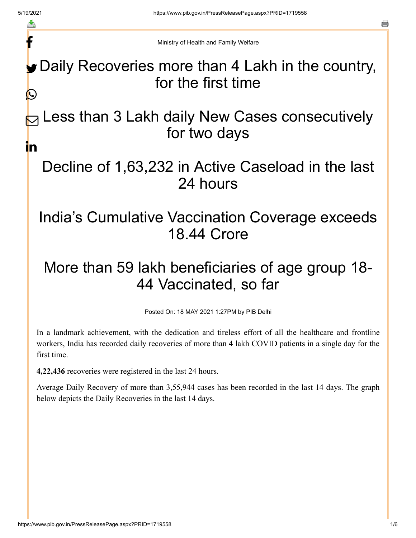f

o

Ministry of Health and Family Welfare

Daily Recoveries more than 4 Lakh in the country, for the first time  $\bigcirc$ 

## Less than 3 Lakh daily New Cases consecutively for two days  $\bm{\nabla}$ in

## Decline of 1,63,232 in Active Caseload in the last 24 hours

## India's Cumulative Vaccination Coverage exceeds 18.44 Crore

## More than 59 lakh beneficiaries of age group 18- 44 Vaccinated, so far

Posted On: 18 MAY 2021 1:27PM by PIB Delhi

In a landmark achievement, with the dedication and tireless effort of all the healthcare and frontline workers, India has recorded daily recoveries of more than 4 lakh COVID patients in a single day for the first time.

**4,22,436** recoveries were registered in the last 24 hours.

Average Daily Recovery of more than 3,55,944 cases has been recorded in the last 14 days. The graph below depicts the Daily Recoveries in the last 14 days.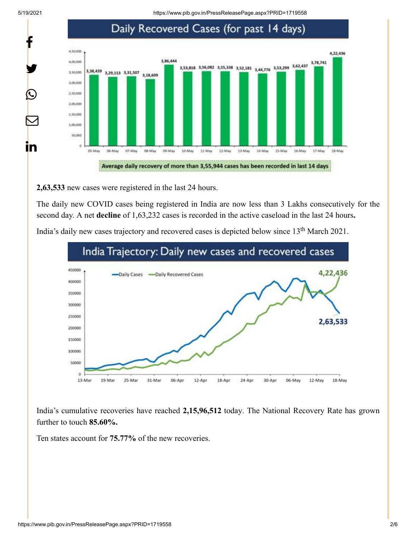5/19/2021 https://www.pib.gov.in/PressReleasePage.aspx?PRID=1719558



**2,63,533** new cases were registered in the last 24 hours.

The daily new COVID cases being registered in India are now less than 3 Lakhs consecutively for the second day. A net **decline** of 1,63,232 cases is recorded in the active caseload in the last 24 hours**.**

India's daily new cases trajectory and recovered cases is depicted below since 13<sup>th</sup> March 2021.



India's cumulative recoveries have reached **2,15,96,512** today. The National Recovery Rate has grown further to touch **85.60%.**

Ten states account for **75.77%** of the new recoveries.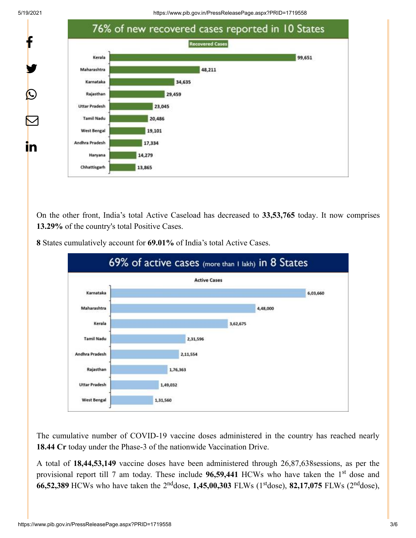5/19/2021 https://www.pib.gov.in/PressReleasePage.aspx?PRID=1719558



On the other front, India's total Active Caseload has decreased to **33,53,765** today. It now comprises **13.29%** of the country's total Positive Cases.



**8** States cumulatively account for **69.01%** of India's total Active Cases.

The cumulative number of COVID-19 vaccine doses administered in the country has reached nearly **18.44 Cr** today under the Phase-3 of the nationwide Vaccination Drive.

A total of **18,44,53,149** vaccine doses have been administered through 26,87,638sessions, as per the provisional report till 7 am today. These include 96,59,441 HCWs who have taken the 1<sup>st</sup> dose and **66,52,389** HCWs who have taken the 2<sup>nd</sup>dose, 1,45,00,303 FLWs (1<sup>st</sup>dose), 82,17,075 FLWs (2<sup>nd</sup>dose),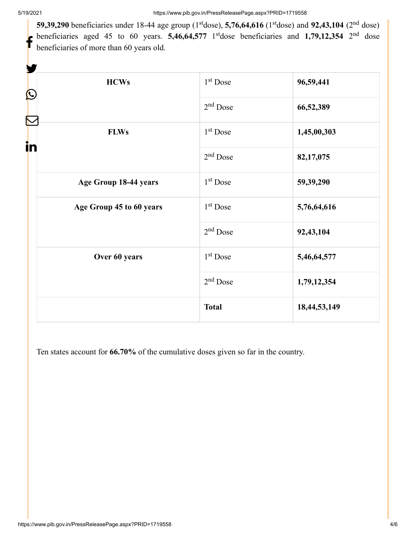**59,39,290** beneficiaries under 18-44 age group (1<sup>st</sup>dose), **5,76,64,616** (1<sup>st</sup>dose) and **92,43,104** (2<sup>nd</sup> dose) beneficiaries aged 45 to 60 years. **5,46,64,577** 1<sup>st</sup>dose beneficiaries and 1,79,12,354 2<sup>nd</sup> dose beneficiaries of more than 60 years old. f

| V                               |                          |                      |              |
|---------------------------------|--------------------------|----------------------|--------------|
| $\bigcirc$                      | <b>HCWs</b>              | 1 <sup>st</sup> Dose | 96,59,441    |
| $\color{red}\blacktriangledown$ |                          | $2nd$ Dose           | 66,52,389    |
| in                              | <b>FLWs</b>              | $1st$ Dose           | 1,45,00,303  |
|                                 |                          | $2nd$ Dose           | 82,17,075    |
|                                 | Age Group 18-44 years    | $1st$ Dose           | 59,39,290    |
|                                 | Age Group 45 to 60 years | 1 <sup>st</sup> Dose | 5,76,64,616  |
|                                 |                          | $2nd$ Dose           | 92,43,104    |
|                                 | Over 60 years            | 1 <sup>st</sup> Dose | 5,46,64,577  |
|                                 |                          | $2nd$ Dose           | 1,79,12,354  |
|                                 |                          | <b>Total</b>         | 18,44,53,149 |

Ten states account for **66.70%** of the cumulative doses given so far in the country.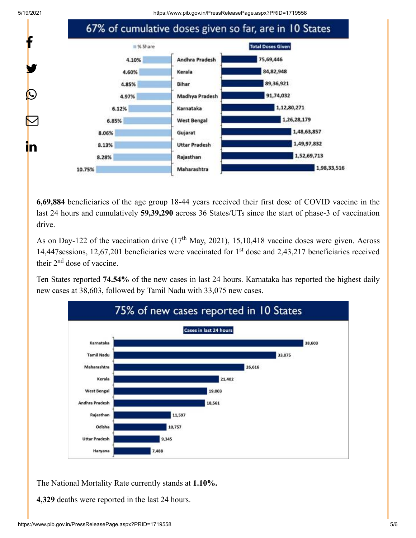

**6,69,884** beneficiaries of the age group 18-44 years received their first dose of COVID vaccine in the last 24 hours and cumulatively **59,39,290** across 36 States/UTs since the start of phase-3 of vaccination drive.

As on Day-122 of the vaccination drive  $(17<sup>th</sup>$  May, 2021), 15,10,418 vaccine doses were given. Across 14,447 sessions, 12,67,201 beneficiaries were vaccinated for  $1<sup>st</sup>$  dose and 2,43,217 beneficiaries received their  $2<sup>nd</sup>$  dose of vaccine.

Ten States reported **74.54%** of the new cases in last 24 hours. Karnataka has reported the highest daily new cases at 38,603, followed by Tamil Nadu with 33,075 new cases.



The National Mortality Rate currently stands at **1.10%.**

**4,329** deaths were reported in the last 24 hours.